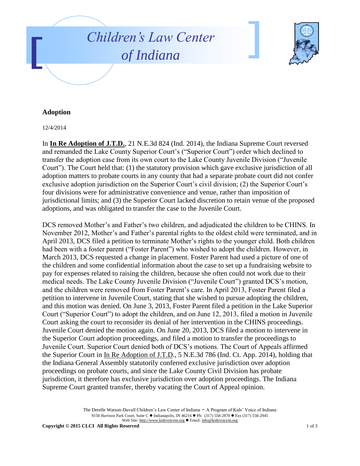



## **Adoption**

12/4/2014

In **In Re Adoption of J.T.D.**, 21 N.E.3d 824 (Ind. 2014), the Indiana Supreme Court reversed and remanded the Lake County Superior Court's ("Superior Court") order which declined to transfer the adoption case from its own court to the Lake County Juvenile Division ("Juvenile Court"). The Court held that: (1) the statutory provision which gave exclusive jurisdiction of all adoption matters to probate courts in any county that had a separate probate court did not confer exclusive adoption jurisdiction on the Superior Court's civil division; (2) the Superior Court's four divisions were for administrative convenience and venue, rather than imposition of jurisdictional limits; and (3) the Superior Court lacked discretion to retain venue of the proposed adoptions, and was obligated to transfer the case to the Juvenile Court.

DCS removed Mother's and Father's two children, and adjudicated the children to be CHINS. In November 2012, Mother's and Father's parental rights to the oldest child were terminated, and in April 2013, DCS filed a petition to terminate Mother's rights to the younger child. Both children had been with a foster parent ("Foster Parent") who wished to adopt the children. However, in March 2013, DCS requested a change in placement. Foster Parent had used a picture of one of the children and some confidential information about the case to set up a fundraising website to pay for expenses related to raising the children, because she often could not work due to their medical needs. The Lake County Juvenile Division ("Juvenile Court") granted DCS's motion, and the children were removed from Foster Parent's care. In April 2013, Foster Parent filed a petition to intervene in Juvenile Court, stating that she wished to pursue adopting the children, and this motion was denied. On June 3, 2013, Foster Parent filed a petition in the Lake Superior Court ("Superior Court") to adopt the children, and on June 12, 2013, filed a motion in Juvenile Court asking the court to reconsider its denial of her intervention in the CHINS proceedings. Juvenile Court denied the motion again. On June 20, 2013, DCS filed a motion to intervene in the Superior Court adoption proceedings, and filed a motion to transfer the proceedings to Juvenile Court. Superior Court denied both of DCS's motions. The Court of Appeals affirmed the Superior Court in In Re Adoption of J.T.D., 5 N.E.3d 786 (Ind. Ct. App. 2014), holding that the Indiana General Assembly statutorily conferred exclusive jurisdiction over adoption proceedings on probate courts, and since the Lake County Civil Division has probate jurisdiction, it therefore has exclusive jurisdiction over adoption proceedings. The Indiana Supreme Court granted transfer, thereby vacating the Court of Appeal opinion.

> The Derelle Watson-Duvall Children's Law Center of Indiana - A Program of Kids' Voice of Indiana 9150 Harrison Park Court, Suite C · Indianapolis, IN 46216 · Ph: (317) 558-2870 · Fax (317) 558-2945 Web Site: http://www.kidsvoicein.org · Email: info@kidsvoicein.org

**Copyright © 2015 CLCI All Rights Reserved** 1 of 3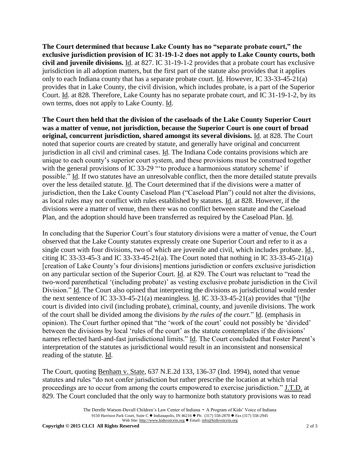**The Court determined that because Lake County has no "separate probate court," the exclusive jurisdiction provision of IC 31-19-1-2 does not apply to Lake County courts, both civil and juvenile divisions.** Id. at 827. IC 31-19-1-2 provides that a probate court has exclusive jurisdiction in all adoption matters, but the first part of the statute also provides that it applies only to each Indiana county that has a separate probate court. Id. However, IC 33-33-45-21(a) provides that in Lake County, the civil division, which includes probate, is a part of the Superior Court. Id. at 828. Therefore, Lake County has no separate probate court, and IC 31-19-1-2, by its own terms, does not apply to Lake County. Id.

**The Court then held that the division of the caseloads of the Lake County Superior Court was a matter of venue, not jurisdiction, because the Superior Court is one court of broad original, concurrent jurisdiction, shared amongst its several divisions.** Id. at 828. The Court noted that superior courts are created by statute, and generally have original and concurrent jurisdiction in all civil and criminal cases. Id. The Indiana Code contains provisions which are unique to each county's superior court system, and these provisions must be construed together with the general provisions of IC 33-29 "to produce a harmonious statutory scheme' if possible." Id. If two statutes have an unresolvable conflict, then the more detailed statute prevails over the less detailed statute. Id. The Court determined that if the divisions were a matter of jurisdiction, then the Lake County Caseload Plan ("Caseload Plan") could not alter the divisions, as local rules may not conflict with rules established by statutes. Id. at 828. However, if the divisions were a matter of venue, then there was no conflict between statute and the Caseload Plan, and the adoption should have been transferred as required by the Caseload Plan. Id.

In concluding that the Superior Court's four statutory divisions were a matter of venue, the Court observed that the Lake County statutes expressly create one Superior Court and refer to it as a single court with four divisions, two of which are juvenile and civil, which includes probate. Id., citing IC 33-33-45-3 and IC 33-33-45-21(a). The Court noted that nothing in IC 33-33-45-21(a) [creation of Lake County's four divisions] mentions jurisdiction or confers exclusive jurisdiction on any particular section of the Superior Court. Id. at 829. The Court was reluctant to "read the two-word parenthetical '(including probate)' as vesting exclusive probate jurisdiction in the Civil Division." Id. The Court also opined that interpreting the divisions as jurisdictional would render the next sentence of IC 33-33-45-21(a) meaningless. Id. IC 33-33-45-21(a) provides that "[t]he court is divided into civil (including probate), criminal, county, and juvenile divisions. The work of the court shall be divided among the divisions *by the rules of the court*." Id. (emphasis in opinion). The Court further opined that "the 'work of the court' could not possibly be 'divided' between the divisions by local 'rules of the court' as the statute contemplates if the divisions' names reflected hard-and-fast jurisdictional limits." Id. The Court concluded that Foster Parent's interpretation of the statutes as jurisdictional would result in an inconsistent and nonsensical reading of the statute. Id.

The Court, quoting Benham v. State, 637 N.E.2d 133, 136-37 (Ind. 1994), noted that venue statutes and rules "do not confer jurisdiction but rather prescribe the location at which trial proceedings are to occur from among the courts empowered to exercise jurisdiction." J.T.D. at 829. The Court concluded that the only way to harmonize both statutory provisions was to read